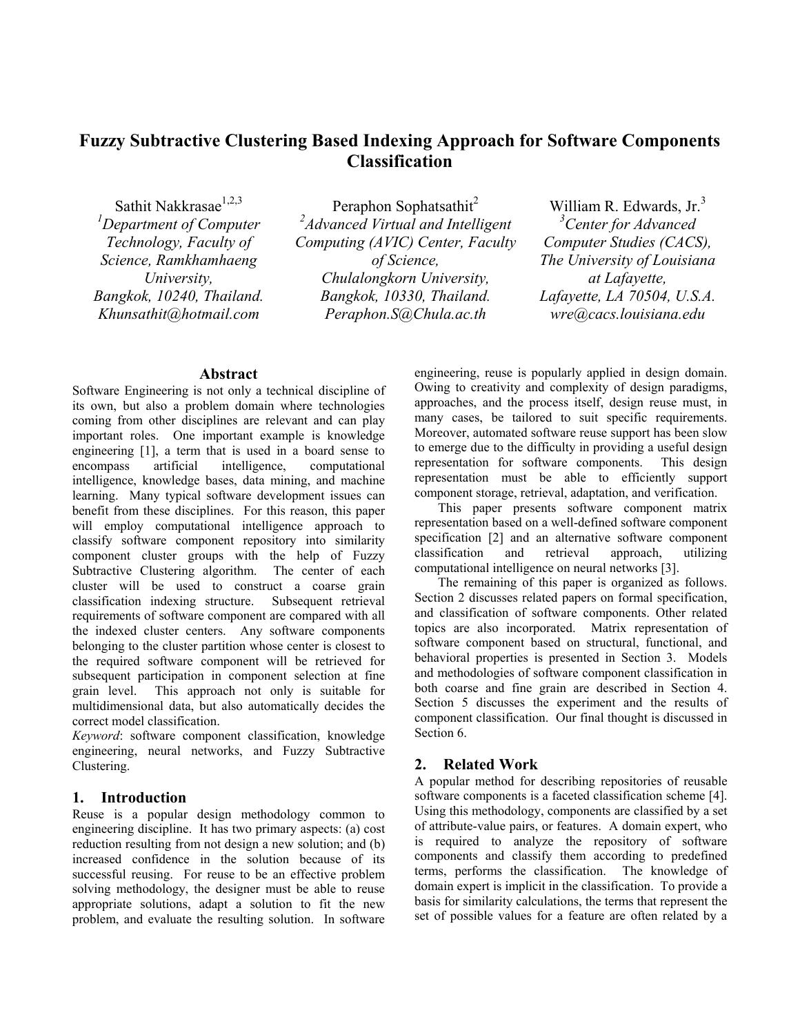# **Fuzzy Subtractive Clustering Based Indexing Approach for Software Components Classification**

Sathit Nakkrasae<sup>1,2,3</sup>

*1 Department of Computer Technology, Faculty of Science, Ramkhamhaeng University, Bangkok, 10240, Thailand. Khunsathit@hotmail.com*

Peraphon Sophatsathit<sup>2</sup> *2 Advanced Virtual and Intelligent Computing (AVIC) Center, Faculty of Science, Chulalongkorn University, Bangkok, 10330, Thailand. Peraphon.S@Chula.ac.th*

William R. Edwards,  $Jr<sub>1</sub><sup>3</sup>$ *3 Center for Advanced Computer Studies (CACS), The University of Louisiana at Lafayette, Lafayette, LA 70504, U.S.A. wre@cacs.louisiana.edu*

## **Abstract**

Software Engineering is not only a technical discipline of its own, but also a problem domain where technologies coming from other disciplines are relevant and can play important roles. One important example is knowledge engineering [1], a term that is used in a board sense to encompass artificial intelligence, computational intelligence, knowledge bases, data mining, and machine learning. Many typical software development issues can benefit from these disciplines. For this reason, this paper will employ computational intelligence approach to classify software component repository into similarity component cluster groups with the help of Fuzzy Subtractive Clustering algorithm. The center of each cluster will be used to construct a coarse grain classification indexing structure. Subsequent retrieval requirements of software component are compared with all the indexed cluster centers. Any software components belonging to the cluster partition whose center is closest to the required software component will be retrieved for subsequent participation in component selection at fine grain level. This approach not only is suitable for multidimensional data, but also automatically decides the correct model classification.

*Keyword*: software component classification, knowledge engineering, neural networks, and Fuzzy Subtractive Clustering.

## **1. Introduction**

Reuse is a popular design methodology common to engineering discipline. It has two primary aspects: (a) cost reduction resulting from not design a new solution; and (b) increased confidence in the solution because of its successful reusing. For reuse to be an effective problem solving methodology, the designer must be able to reuse appropriate solutions, adapt a solution to fit the new problem, and evaluate the resulting solution. In software engineering, reuse is popularly applied in design domain. Owing to creativity and complexity of design paradigms, approaches, and the process itself, design reuse must, in many cases, be tailored to suit specific requirements. Moreover, automated software reuse support has been slow to emerge due to the difficulty in providing a useful design representation for software components. This design representation must be able to efficiently support component storage, retrieval, adaptation, and verification.

This paper presents software component matrix representation based on a well-defined software component specification [2] and an alternative software component classification and retrieval approach, utilizing computational intelligence on neural networks [3].

The remaining of this paper is organized as follows. Section 2 discusses related papers on formal specification, and classification of software components. Other related topics are also incorporated. Matrix representation of software component based on structural, functional, and behavioral properties is presented in Section 3. Models and methodologies of software component classification in both coarse and fine grain are described in Section 4. Section 5 discusses the experiment and the results of component classification. Our final thought is discussed in Section 6.

#### **2. Related Work**

A popular method for describing repositories of reusable software components is a faceted classification scheme [4]. Using this methodology, components are classified by a set of attribute-value pairs, or features. A domain expert, who is required to analyze the repository of software components and classify them according to predefined terms, performs the classification. The knowledge of domain expert is implicit in the classification. To provide a basis for similarity calculations, the terms that represent the set of possible values for a feature are often related by a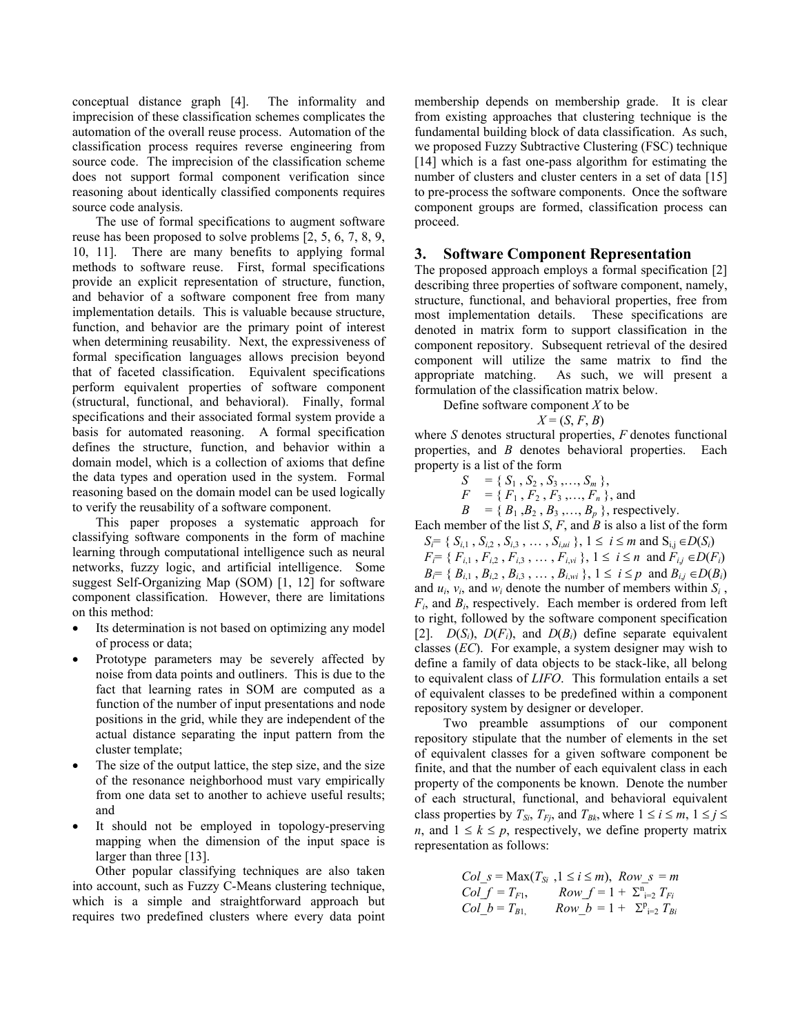conceptual distance graph [4]. The informality and imprecision of these classification schemes complicates the automation of the overall reuse process. Automation of the classification process requires reverse engineering from source code. The imprecision of the classification scheme does not support formal component verification since reasoning about identically classified components requires source code analysis.

The use of formal specifications to augment software reuse has been proposed to solve problems [2, 5, 6, 7, 8, 9, 10, 11]. There are many benefits to applying formal methods to software reuse. First, formal specifications provide an explicit representation of structure, function, and behavior of a software component free from many implementation details. This is valuable because structure, function, and behavior are the primary point of interest when determining reusability. Next, the expressiveness of formal specification languages allows precision beyond that of faceted classification. Equivalent specifications perform equivalent properties of software component (structural, functional, and behavioral). Finally, formal specifications and their associated formal system provide a basis for automated reasoning. A formal specification defines the structure, function, and behavior within a domain model, which is a collection of axioms that define the data types and operation used in the system. Formal reasoning based on the domain model can be used logically to verify the reusability of a software component.

This paper proposes a systematic approach for classifying software components in the form of machine learning through computational intelligence such as neural networks, fuzzy logic, and artificial intelligence. Some suggest Self-Organizing Map (SOM) [1, 12] for software component classification. However, there are limitations on this method:

- Its determination is not based on optimizing any model of process or data;
- Prototype parameters may be severely affected by noise from data points and outliners. This is due to the fact that learning rates in SOM are computed as a function of the number of input presentations and node positions in the grid, while they are independent of the actual distance separating the input pattern from the cluster template;
- The size of the output lattice, the step size, and the size of the resonance neighborhood must vary empirically from one data set to another to achieve useful results; and
- It should not be employed in topology-preserving mapping when the dimension of the input space is larger than three [13].

Other popular classifying techniques are also taken into account, such as Fuzzy C-Means clustering technique, which is a simple and straightforward approach but requires two predefined clusters where every data point membership depends on membership grade. It is clear from existing approaches that clustering technique is the fundamental building block of data classification. As such, we proposed Fuzzy Subtractive Clustering (FSC) technique [14] which is a fast one-pass algorithm for estimating the number of clusters and cluster centers in a set of data [15] to pre-process the software components. Once the software component groups are formed, classification process can proceed.

## **3. Software Component Representation**

The proposed approach employs a formal specification [2] describing three properties of software component, namely, structure, functional, and behavioral properties, free from most implementation details. These specifications are denoted in matrix form to support classification in the component repository. Subsequent retrieval of the desired component will utilize the same matrix to find the appropriate matching. As such, we will present a formulation of the classification matrix below.

Define software component *X* to be

$$
X = (S, F, B)
$$

where *S* denotes structural properties, *F* denotes functional properties, and *B* denotes behavioral properties. Each property is a list of the form

$$
S = \{S_1, S_2, S_3, \ldots, S_m\},\,
$$

$$
F = \{F_1, F_2, F_3, ..., F_n\}
$$
, and

 $B = \{B_1, B_2, B_3, \ldots, B_p\}$ , respectively.

Each member of the list *S*, *F*, and *B* is also a list of the form

- *S<sub>i</sub>*= { *S<sub>i,1</sub>* , *S<sub>i,2</sub>* , *S<sub>i,3</sub>* , ... , *S<sub>i,ui</sub>* }, 1 ≤ *i* ≤ *m* and S<sub>i,j</sub> ∈ *D*(*S<sub>i</sub>*)
- $F_i = \{ F_{i,1}, F_{i,2}, F_{i,3}, \ldots, F_{i,\nu i} \}, 1 \le i \le n \text{ and } F_{i,j} \in D(F_i)$  $B_i = \{ B_{i,1}, B_{i,2}, B_{i,3}, \ldots, B_{i,wi} \}, 1 \le i \le p \text{ and } B_{i,j} \in D(B_i)$

and  $u_i$ ,  $v_i$ , and  $w_i$  denote the number of members within  $S_i$ , *Fi*, and *Bi*, respectively. Each member is ordered from left to right, followed by the software component specification [2].  $D(S_i)$ ,  $D(F_i)$ , and  $D(B_i)$  define separate equivalent classes (*EC*). For example, a system designer may wish to define a family of data objects to be stack-like, all belong to equivalent class of *LIFO*. This formulation entails a set of equivalent classes to be predefined within a component repository system by designer or developer.

 Two preamble assumptions of our component repository stipulate that the number of elements in the set of equivalent classes for a given software component be finite, and that the number of each equivalent class in each property of the components be known. Denote the number of each structural, functional, and behavioral equivalent class properties by  $T_{Si}$ ,  $T_{Fi}$ , and  $T_{Bk}$ , where  $1 \le i \le m$ ,  $1 \le j \le n$ *n*, and  $1 \leq k \leq p$ , respectively, we define property matrix representation as follows:

$$
Col_s = \text{Max}(T_{Si} , 1 \le i \le m), \text{ Row}_s = m
$$
  
\n $Col_f = T_{F1}, \text{ Row}_f = 1 + \sum_{i=2}^{n} T_{Fi}$   
\n $Col_b = T_{B1}, \text{ Row}_b = 1 + \sum_{i=2}^{p} T_{Bi}$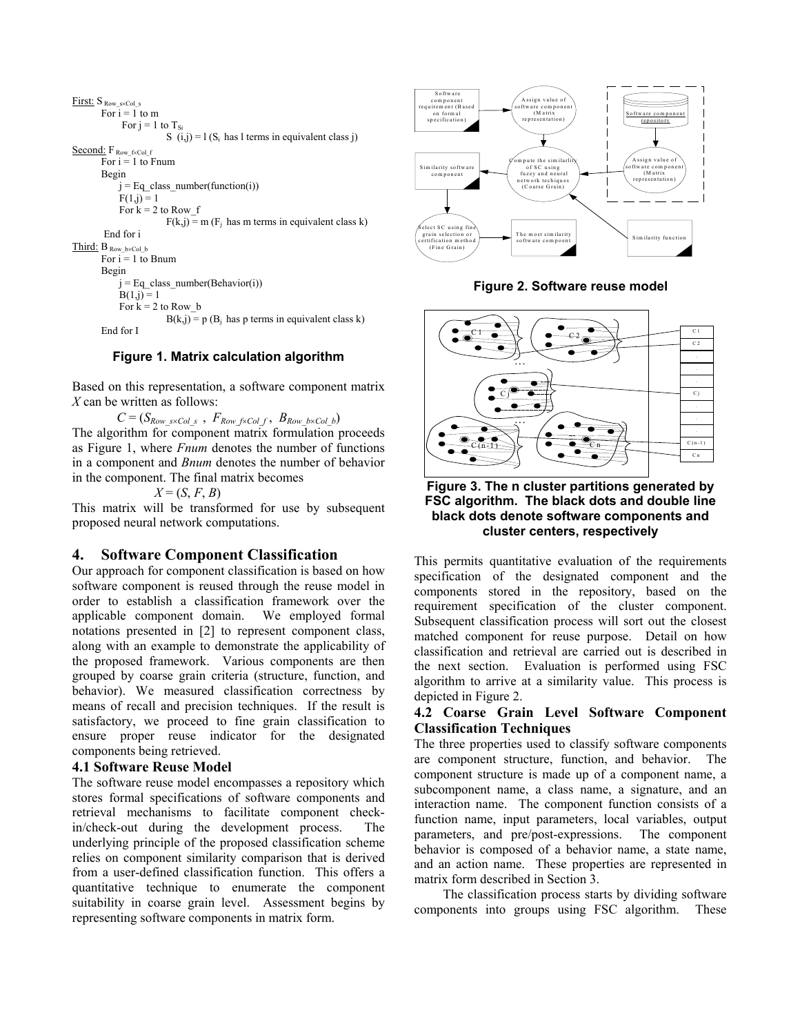```
First: S Row_s×Col_s
       For i = 1 to m
             For j = 1 to T_{Si}S (i,j) = 1 (S<sub>i</sub> has l terms in equivalent class j)
Second: F<sub>Row f×Col f</sub>
       For i = 1 to Fnum
         Begin 
            j = Eq class number(function(i))
            F(1,j) = 1For k = 2 to Row f
                         F(k,j) = m (F<sub>i</sub> has m terms in equivalent class k) End for i 
Third: B Row_b×Col_b 
       For i = 1 to Bnum
         Begin 
            j = Eq class number(Behavior(i))
             B(1,j) = 1For k = 2 to Row bB(k,j) = p(B_j) has p terms in equivalent class k)
        End for I
```


Based on this representation, a software component matrix *X* can be written as follows:

 $C = (S_{Row\;s \times Col\;s}$  ,  $F_{Row\;f \times Col\;f}$  ,  $B_{Row\;b \times Col\;b})$ The algorithm for component matrix formulation proceeds as Figure 1, where *Fnum* denotes the number of functions in a component and *Bnum* denotes the number of behavior in the component. The final matrix becomes

 $X = (S, F, B)$ 

This matrix will be transformed for use by subsequent proposed neural network computations.

#### **4. Software Component Classification**

Our approach for component classification is based on how software component is reused through the reuse model in order to establish a classification framework over the applicable component domain. We employed formal notations presented in [2] to represent component class, along with an example to demonstrate the applicability of the proposed framework. Various components are then grouped by coarse grain criteria (structure, function, and behavior). We measured classification correctness by means of recall and precision techniques. If the result is satisfactory, we proceed to fine grain classification to ensure proper reuse indicator for the designated components being retrieved.

#### **4.1 Software Reuse Model**

The software reuse model encompasses a repository which stores formal specifications of software components and retrieval mechanisms to facilitate component checkin/check-out during the development process. The underlying principle of the proposed classification scheme relies on component similarity comparison that is derived from a user-defined classification function. This offers a quantitative technique to enumerate the component suitability in coarse grain level. Assessment begins by representing software components in matrix form.



**Figure 2. Software reuse model** 



**Figure 3. The n cluster partitions generated by FSC algorithm. The black dots and double line black dots denote software components and cluster centers, respectively**

This permits quantitative evaluation of the requirements specification of the designated component and the components stored in the repository, based on the requirement specification of the cluster component. Subsequent classification process will sort out the closest matched component for reuse purpose. Detail on how classification and retrieval are carried out is described in the next section. Evaluation is performed using FSC algorithm to arrive at a similarity value. This process is depicted in Figure 2.

#### **4.2 Coarse Grain Level Software Component Classification Techniques**

The three properties used to classify software components are component structure, function, and behavior. The component structure is made up of a component name, a subcomponent name, a class name, a signature, and an interaction name. The component function consists of a function name, input parameters, local variables, output parameters, and pre/post-expressions. The component behavior is composed of a behavior name, a state name, and an action name. These properties are represented in matrix form described in Section 3.

The classification process starts by dividing software components into groups using FSC algorithm. These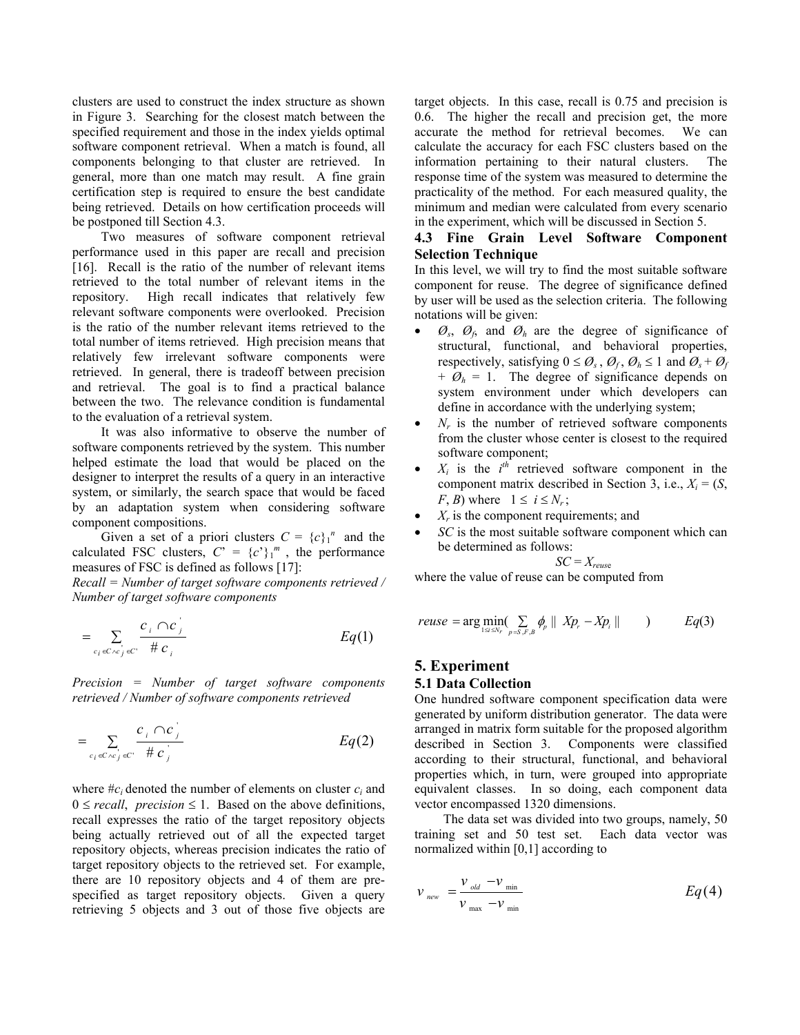clusters are used to construct the index structure as shown in Figure 3. Searching for the closest match between the specified requirement and those in the index yields optimal software component retrieval. When a match is found, all components belonging to that cluster are retrieved. In general, more than one match may result. A fine grain certification step is required to ensure the best candidate being retrieved. Details on how certification proceeds will be postponed till Section 4.3.

Two measures of software component retrieval performance used in this paper are recall and precision [16]. Recall is the ratio of the number of relevant items retrieved to the total number of relevant items in the repository. High recall indicates that relatively few relevant software components were overlooked. Precision is the ratio of the number relevant items retrieved to the total number of items retrieved. High precision means that relatively few irrelevant software components were retrieved. In general, there is tradeoff between precision and retrieval. The goal is to find a practical balance between the two. The relevance condition is fundamental to the evaluation of a retrieval system.

It was also informative to observe the number of software components retrieved by the system. This number helped estimate the load that would be placed on the designer to interpret the results of a query in an interactive system, or similarly, the search space that would be faced by an adaptation system when considering software component compositions.

Given a set of a priori clusters  $C = {c}_1^n$  and the calculated FSC clusters,  $C' = {c'}_1^m$ , the performance measures of FSC is defined as follows [17]:

*Recall = Number of target software components retrieved / Number of target software components* 

$$
= \sum_{c_i \in C \wedge c_j \in C} \frac{c_i \cap c_j}{\# c_i} \qquad \qquad Eq(1)
$$

*Precision = Number of target software components retrieved / Number of software components retrieved* 

$$
= \sum_{c_i \in C \setminus c_j \in C} \frac{c_i \cap c_j}{\# c_j} \qquad \qquad Eq(2)
$$

where  $\#c_i$  denoted the number of elements on cluster  $c_i$  and  $0 \le$  *recall, precision*  $\le$  1. Based on the above definitions, recall expresses the ratio of the target repository objects being actually retrieved out of all the expected target repository objects, whereas precision indicates the ratio of target repository objects to the retrieved set. For example, there are 10 repository objects and 4 of them are prespecified as target repository objects. Given a query retrieving 5 objects and 3 out of those five objects are

target objects. In this case, recall is 0.75 and precision is 0.6. The higher the recall and precision get, the more accurate the method for retrieval becomes. We can calculate the accuracy for each FSC clusters based on the information pertaining to their natural clusters. The response time of the system was measured to determine the practicality of the method. For each measured quality, the minimum and median were calculated from every scenario in the experiment, which will be discussed in Section 5.

#### **4.3 Fine Grain Level Software Component Selection Technique**

In this level, we will try to find the most suitable software component for reuse. The degree of significance defined by user will be used as the selection criteria. The following notations will be given:

- $\mathcal{O}_s$ ,  $\mathcal{O}_f$ , and  $\mathcal{O}_h$  are the degree of significance of structural, functional, and behavioral properties, respectively, satisfying  $0 \le \varnothing_s$ ,  $\varnothing_t$ ,  $\varnothing_h \le 1$  and  $\varnothing_s + \varnothing_t$  $+$   $\varnothing$ <sub>h</sub> = 1. The degree of significance depends on system environment under which developers can define in accordance with the underlying system;
- $N_r$  is the number of retrieved software components from the cluster whose center is closest to the required software component;
- $X_i$  is the  $i^{th}$  retrieved software component in the component matrix described in Section 3, i.e.,  $X_i = (S,$ *F*, *B*) where  $1 \le i \le N_r$ ;
- $X_r$  is the component requirements; and
- *SC* is the most suitable software component which can be determined as follows:

$$
SC = X_{reus}
$$

where the value of reuse can be computed from

$$
reuse = \arg\min_{1 \le i \le N_r} \sum_{p=S,F,B} \phi_p \parallel Xp_r - Xp_i \parallel \qquad) \qquad Eq(3)
$$

#### **5. Experiment 5.1 Data Collection**

One hundred software component specification data were generated by uniform distribution generator. The data were arranged in matrix form suitable for the proposed algorithm described in Section 3. Components were classified according to their structural, functional, and behavioral properties which, in turn, were grouped into appropriate equivalent classes. In so doing, each component data vector encompassed 1320 dimensions.

The data set was divided into two groups, namely, 50 training set and 50 test set. Each data vector was normalized within [0,1] according to

$$
v_{\text{new}} = \frac{v_{\text{old}} - v_{\text{min}}}{v_{\text{max}} - v_{\text{min}}}
$$
 Eq (4)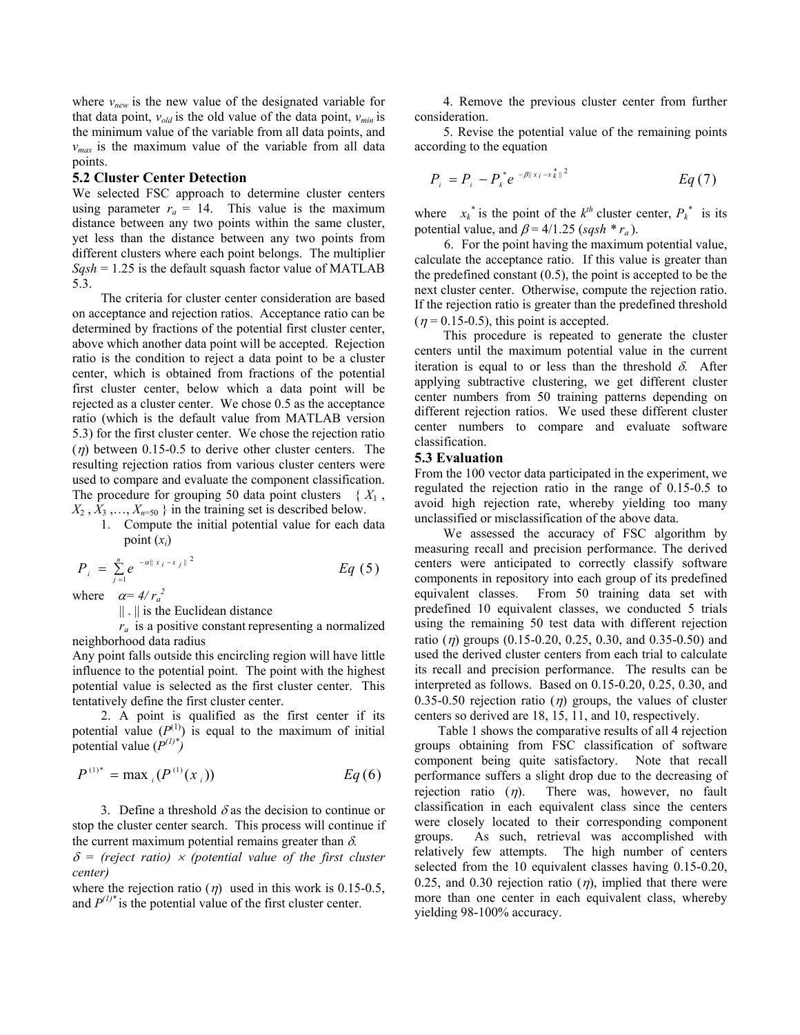where  $v_{new}$  is the new value of the designated variable for that data point,  $v_{old}$  is the old value of the data point,  $v_{min}$  is the minimum value of the variable from all data points, and *vmax* is the maximum value of the variable from all data points.

#### **5.2 Cluster Center Detection**

We selected FSC approach to determine cluster centers using parameter  $r_a = 14$ . This value is the maximum distance between any two points within the same cluster, yet less than the distance between any two points from different clusters where each point belongs. The multiplier  $Sqsh = 1.25$  is the default squash factor value of MATLAB 5.3.

The criteria for cluster center consideration are based on acceptance and rejection ratios. Acceptance ratio can be determined by fractions of the potential first cluster center, above which another data point will be accepted. Rejection ratio is the condition to reject a data point to be a cluster center, which is obtained from fractions of the potential first cluster center, below which a data point will be rejected as a cluster center. We chose 0.5 as the acceptance ratio (which is the default value from MATLAB version 5.3) for the first cluster center. We chose the rejection ratio  $(\eta)$  between 0.15-0.5 to derive other cluster centers. The resulting rejection ratios from various cluster centers were used to compare and evaluate the component classification. The procedure for grouping 50 data point clusters  $\{X_1, \ldots, X_n\}$  $X_2, X_3, \ldots, X_{n=50}$  } in the training set is described below.

1. Compute the initial potential value for each data point  $(x_i)$ 

$$
P_{i} = \sum_{j=1}^{n} e^{-\alpha ||x_{i} - x_{j}||^{2}}
$$
 Eq (5)

where  $\alpha = 4/r_a^2$ 

|| . || is the Euclidean distance

 $r_a$  is a positive constant representing a normalized neighborhood data radius

Any point falls outside this encircling region will have little influence to the potential point. The point with the highest potential value is selected as the first cluster center. This tentatively define the first cluster center.

2. A point is qualified as the first center if its potential value  $(P^{(1)})$  is equal to the maximum of initial potential value  $(P^{(1)})^*$ 

$$
P^{(1)*} = \max_{i} (P^{(1)}(x_i))
$$
 Eq (6)

3. Define a threshold  $\delta$  as the decision to continue or stop the cluster center search. This process will continue if the current maximum potential remains greater than  $\delta$ .

 $\delta$  = (reject ratio)  $\times$  (potential value of the first cluster *center)*

where the rejection ratio ( $\eta$ ) used in this work is 0.15-0.5, and  $P^{(1)*}$  is the potential value of the first cluster center.

4. Remove the previous cluster center from further consideration.

5. Revise the potential value of the remaining points according to the equation

$$
P_i = P_i - P_k^* e^{-\beta ||x_i - x_k^*||^2} \qquad \qquad Eq \ (7)
$$

where  $x_k^*$  is the point of the  $k^{th}$  cluster center,  $P_k^*$  is its potential value, and  $\beta$  = 4/1.25 (*sqsh* \*  $r_a$ ).

6. For the point having the maximum potential value, calculate the acceptance ratio. If this value is greater than the predefined constant (0.5), the point is accepted to be the next cluster center. Otherwise, compute the rejection ratio. If the rejection ratio is greater than the predefined threshold  $(\eta = 0.15 - 0.5)$ , this point is accepted.

This procedure is repeated to generate the cluster centers until the maximum potential value in the current iteration is equal to or less than the threshold  $\delta$ . After applying subtractive clustering, we get different cluster center numbers from 50 training patterns depending on different rejection ratios. We used these different cluster center numbers to compare and evaluate software classification.

#### **5.3 Evaluation**

From the 100 vector data participated in the experiment, we regulated the rejection ratio in the range of 0.15-0.5 to avoid high rejection rate, whereby yielding too many unclassified or misclassification of the above data.

We assessed the accuracy of FSC algorithm by measuring recall and precision performance. The derived centers were anticipated to correctly classify software components in repository into each group of its predefined equivalent classes. From 50 training data set with predefined 10 equivalent classes, we conducted 5 trials using the remaining 50 test data with different rejection ratio ( $\eta$ ) groups (0.15-0.20, 0.25, 0.30, and 0.35-0.50) and used the derived cluster centers from each trial to calculate its recall and precision performance. The results can be interpreted as follows. Based on 0.15-0.20, 0.25, 0.30, and 0.35-0.50 rejection ratio (*n*) groups, the values of cluster centers so derived are 18, 15, 11, and 10, respectively.

Table 1 shows the comparative results of all 4 rejection groups obtaining from FSC classification of software component being quite satisfactory. Note that recall performance suffers a slight drop due to the decreasing of rejection ratio  $(\eta)$ . There was, however, no fault classification in each equivalent class since the centers were closely located to their corresponding component groups. As such, retrieval was accomplished with relatively few attempts. The high number of centers selected from the 10 equivalent classes having 0.15-0.20, 0.25, and 0.30 rejection ratio  $(\eta)$ , implied that there were more than one center in each equivalent class, whereby yielding 98-100% accuracy.